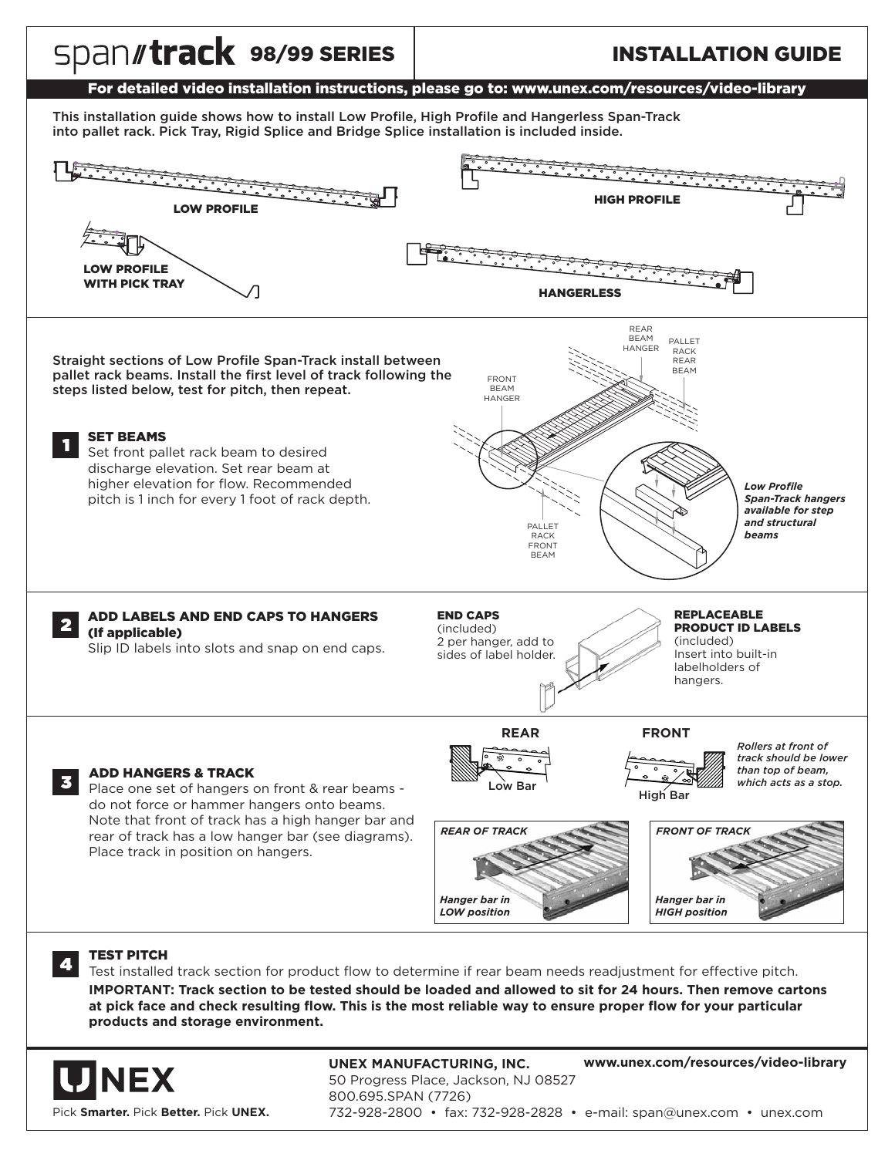

Pick **Smarter.** Pick **Better.** Pick **UNEX.**

**UNEX MANUFACTURING, INC. www.unex.com/resources/video-library** 50 Progress Place, Jackson, NJ 08527 800.695.SPAN (7726) 732-928-2800 • fax: 732-928-2828 • e-mail: span@unex.com • unex.com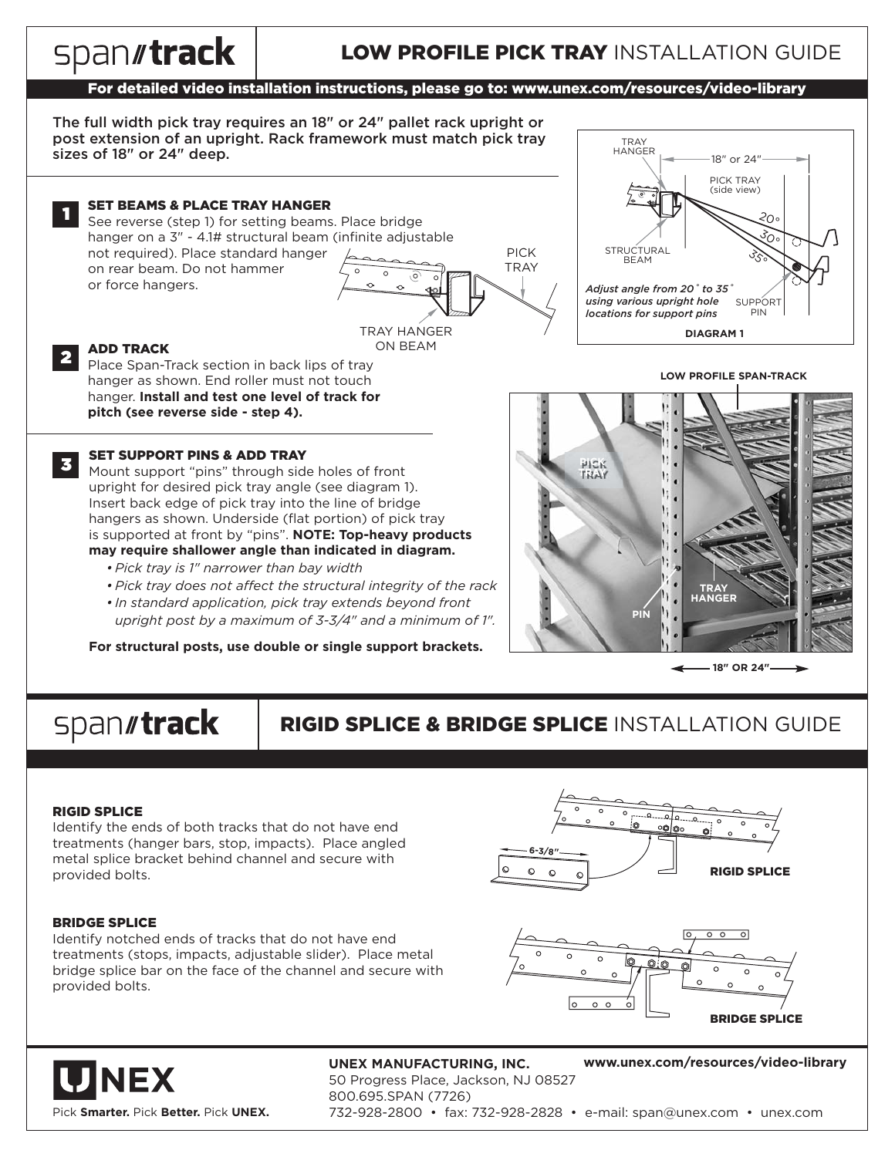#### spantrack LOW PROFILE PICK TRAY INSTALLATION GUIDE For detailed video installation instructions, please go to: www.unex.com/resources/video-library The full width pick tray requires an 18" or 24" pallet rack upright or post extension of an upright. Rack framework must match pick tray TRAY HANGER sizes of 18" or 24" deep. 18" or 24" PICK TRAY (side view) SET BEAMS & PLACE TRAY HANGER 1 20°See reverse (step 1) for setting beams. Place bridge hanger on a 3" - 4.1# structural beam (infinite adjustable 30°PICK **STRUCTURAL** not required). Place standard hanger  $35^{\circ}$ BEAM **TRAY** on rear beam. Do not hammer or force hangers. *Adjust angle from 20˚ to 35˚ using various upright hole* **SUPPORT** *locations for support pins* PIN TRAY HANGER **DIAGRAM 1**ON BEAM ADD TRACK 2 Place Span-Track section in back lips of tray **LOW PROFILE SPAN-TRACK** hanger as shown. End roller must not touch hanger. **Install and test one level of track for pitch (see reverse side - step 4).** SET SUPPORT PINS & ADD TRAY 3 **PICK** Mount support "pins" through side holes of front **TRAY** upright for desired pick tray angle (see diagram 1). Insert back edge of pick tray into the line of bridge hangers as shown. Underside (flat portion) of pick tray is supported at front by "pins". **NOTE: Top-heavy products may require shallower angle than indicated in diagram.** *• Pick tray is 1" narrower than bay width • Pick tray does not affect the structural integrity of the rack* **TRAY HANGER** *• In standard application, pick tray extends beyond front* **PIN** *upright post by a maximum of 3-3/4" and a minimum of 1".* **For structural posts, use double or single support brackets. 18" OR 24"**

# spantrack

# RIGID SPLICE & BRIDGE SPLICE INSTALLATION GUIDE

#### RIGID SPLICE

Identify the ends of both tracks that do not have end treatments (hanger bars, stop, impacts). Place angled metal splice bracket behind channel and secure with provided bolts.

#### BRIDGE SPLICE

Identify notched ends of tracks that do not have end treatments (stops, impacts, adjustable slider). Place metal bridge splice bar on the face of the channel and secure with provided bolts.







**UNEX MANUFACTURING, INC. www.unex.com/resources/video-library** 50 Progress Place, Jackson, NJ 08527 800.695.SPAN (7726) 732-928-2800 • fax: 732-928-2828 • e-mail: span@unex.com • unex.com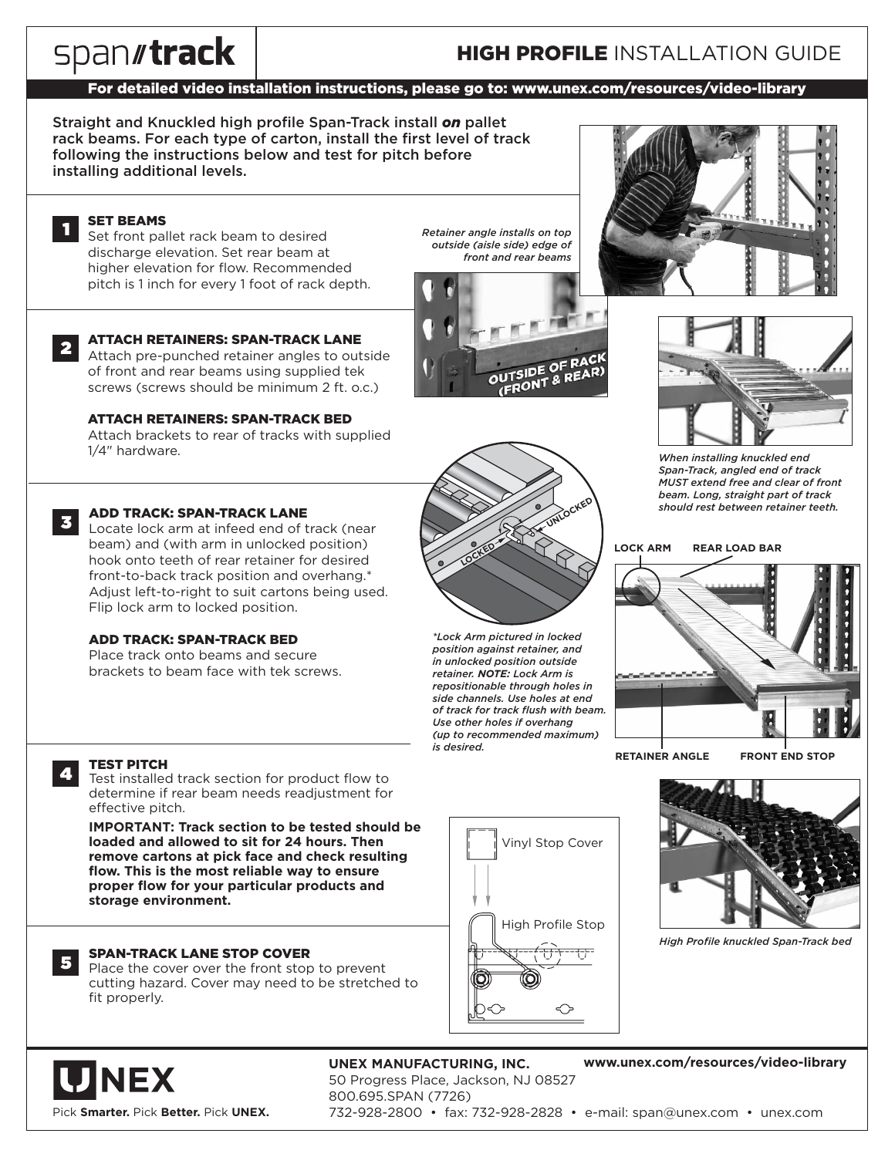# spantrack

# **HIGH PROFILE INSTALLATION GUIDE**

### For detailed video installation instructions, please go to: www.unex.com/resources/video-library

Straight and Knuckled high profile Span-Track install *on* pallet rack beams. For each type of carton, install the first level of track following the instructions below and test for pitch before installing additional levels.

#### SET BEAMS 1

Set front pallet rack beam to desired discharge elevation. Set rear beam at higher elevation for flow. Recommended pitch is 1 inch for every 1 foot of rack depth.



ATTACH RETAINERS: SPAN-TRACK LANE Attach pre-punched retainer angles to outside of front and rear beams using supplied tek

screws (screws should be minimum 2 ft. o.c.)

#### ATTACH RETAINERS: SPAN-TRACK BED

Attach brackets to rear of tracks with supplied 1/4" hardware.



4

5

#### ADD TRACK: SPAN-TRACK LANE

Locate lock arm at infeed end of track (near 3 beam) and (with arm in unlocked position) hook onto teeth of rear retainer for desired front-to-back track position and overhang.\* Adjust left-to-right to suit cartons being used. Flip lock arm to locked position.

#### ADD TRACK: SPAN-TRACK BED

Place track onto beams and secure brackets to beam face with tek screws.



*Retainer angle installs on top outside (aisle side) edge of front and rear beams*





*When installing knuckled end Span-Track, angled end of track MUST extend free and clear of front beam. Long, straight part of track should rest between retainer teeth.*

#### **LOCK ARM REAR LOAD BAR**



**RETAINER ANGLE FRONT END STOP**





*High Profile knuckled Span-Track bed*

#### TEST PITCH

Test installed track section for product flow to determine if rear beam needs readjustment for effective pitch.

**IMPORTANT: Track section to be tested should be loaded and allowed to sit for 24 hours. Then remove cartons at pick face and check resulting flow. This is the most reliable way to ensure proper flow for your particular products and storage environment.**

#### SPAN-TRACK LANE STOP COVER

Place the cover over the front stop to prevent cutting hazard. Cover may need to be stretched to fit properly.

**JNEX** Pick **Smarter.** Pick **Better.** Pick **UNEX.**

#### **UNEX MANUFACTURING, INC. www.unex.com/resources/video-library**

50 Progress Place, Jackson, NJ 08527

800.695.SPAN (7726) 732-928-2800 • fax: 732-928-2828 • e-mail: span@unex.com • unex.com



*\*Lock Arm pictured in locked position against retainer, and in unlocked position outside retainer. NOTE: Lock Arm is repositionable through holes in side channels. Use holes at end of track for track flush with beam. Use other holes if overhang (up to recommended maximum) is desired.*